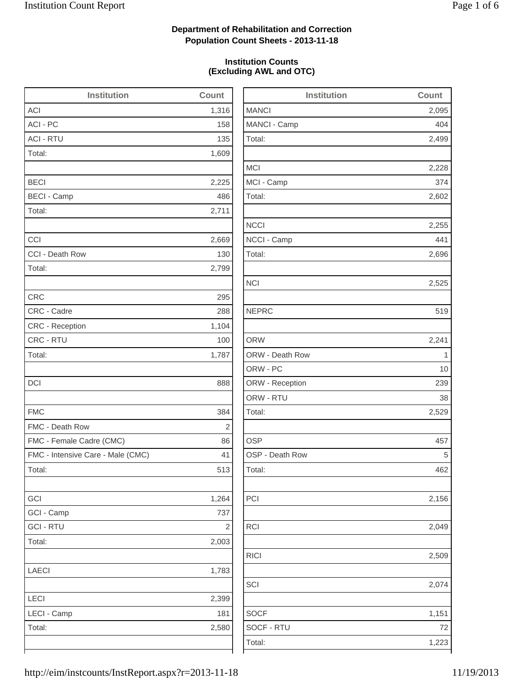2,499

2,228

2,602

2,255

2,696

2,525

2,156

2,049

2,509

2,074

## **Department of Rehabilitation and Correction Population Count Sheets - 2013-11-18**

### **Institution Counts (Excluding AWL and OTC)**

| <b>Institution</b>                | Count          | <b>Institution</b> | Count       |
|-----------------------------------|----------------|--------------------|-------------|
| <b>ACI</b>                        | 1,316          | <b>MANCI</b>       | 2,095       |
| ACI - PC                          | 158            | MANCI - Camp       | 404         |
| <b>ACI - RTU</b>                  | 135            | Total:             | 2,499       |
| Total:                            | 1,609          |                    |             |
|                                   |                | <b>MCI</b>         | 2,228       |
| <b>BECI</b>                       | 2,225          | MCI - Camp         | 374         |
| <b>BECI - Camp</b>                | 486            | Total:             | 2,602       |
| Total:                            | 2,711          |                    |             |
|                                   |                | <b>NCCI</b>        | 2,255       |
| CCI                               | 2,669          | NCCI - Camp        | 441         |
| CCI - Death Row                   | 130            | Total:             | 2,696       |
| Total:                            | 2,799          |                    |             |
|                                   |                | <b>NCI</b>         | 2,525       |
| <b>CRC</b>                        | 295            |                    |             |
| CRC - Cadre                       | 288            | <b>NEPRC</b>       | 519         |
| CRC - Reception                   | 1,104          |                    |             |
| CRC - RTU                         | 100            | <b>ORW</b>         | 2,241       |
| Total:                            | 1,787          | ORW - Death Row    | $\mathbf 1$ |
|                                   |                | ORW - PC           | 10          |
| <b>DCI</b>                        | 888            | ORW - Reception    | 239         |
|                                   |                | ORW - RTU          | 38          |
| <b>FMC</b>                        | 384            | Total:             | 2,529       |
| FMC - Death Row                   | $\overline{2}$ |                    |             |
| FMC - Female Cadre (CMC)          | 86             | <b>OSP</b>         | 457         |
| FMC - Intensive Care - Male (CMC) | 41             | OSP - Death Row    | 5           |
| Total:                            | 513            | Total:             | 462         |
| GCI                               | 1,264          | PCI                | 2,156       |
| GCI - Camp                        | 737            |                    |             |
| <b>GCI - RTU</b>                  | $\sqrt{2}$     | RCI                | 2,049       |
| Total:                            | 2,003          |                    |             |
|                                   |                | <b>RICI</b>        | 2,509       |
| LAECI                             | 1,783          |                    |             |
|                                   |                | SCI                | 2,074       |
| LECI                              | 2,399          |                    |             |
| LECI - Camp                       | 181            | <b>SOCF</b>        | 1,151       |
| Total:                            | 2,580          | SOCF - RTU         | 72          |
|                                   |                | Total:             | 1,223       |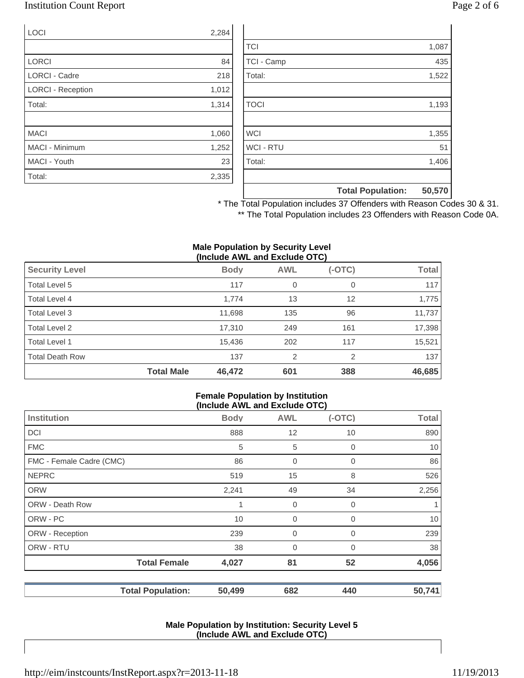## Institution Count Report Page 2 of 6

| <b>LOCI</b>              | 2,284 |
|--------------------------|-------|
|                          |       |
| <b>LORCI</b>             | 84    |
| <b>LORCI - Cadre</b>     | 218   |
| <b>LORCI - Reception</b> | 1,012 |
| Total:                   | 1,314 |
|                          |       |
| <b>MACI</b>              | 1,060 |
| <b>MACI - Minimum</b>    | 1,252 |
| MACI - Youth             | 23    |
| Total:                   | 2,335 |

|                  | <b>Total Population:</b> | 50,570 |
|------------------|--------------------------|--------|
|                  |                          |        |
| Total:           |                          | 1,406  |
| <b>WCI - RTU</b> |                          | 51     |
| <b>WCI</b>       |                          | 1,355  |
|                  |                          |        |
| <b>TOCI</b>      |                          | 1,193  |
|                  |                          |        |
| Total:           |                          | 1,522  |
| TCI - Camp       |                          | 435    |
| <b>TCI</b>       |                          | 1,087  |

\* The Total Population includes 37 Offenders with Reason Codes 30 & 31. \*\* The Total Population includes 23 Offenders with Reason Code 0A.

#### **Male Population by Security Level (Include AWL and Exclude OTC)**

|                        |                   | ,           |                |          |              |
|------------------------|-------------------|-------------|----------------|----------|--------------|
| <b>Security Level</b>  |                   | <b>Body</b> | <b>AWL</b>     | $(-OTC)$ | <b>Total</b> |
| Total Level 5          |                   | 117         | 0              | 0        | 117          |
| Total Level 4          |                   | 1,774       | 13             | 12       | 1,775        |
| Total Level 3          |                   | 11,698      | 135            | 96       | 11,737       |
| Total Level 2          |                   | 17,310      | 249            | 161      | 17,398       |
| Total Level 1          |                   | 15,436      | 202            | 117      | 15,521       |
| <b>Total Death Row</b> |                   | 137         | $\overline{2}$ | 2        | 137          |
|                        | <b>Total Male</b> | 46,472      | 601            | 388      | 46,685       |

#### **Female Population by Institution (Include AWL and Exclude OTC)**

|                          |             | (II)           |          |              |
|--------------------------|-------------|----------------|----------|--------------|
| <b>Institution</b>       | <b>Body</b> | <b>AWL</b>     | $(-OTC)$ | <b>Total</b> |
| <b>DCI</b>               | 888         | 12             | 10       | 890          |
| <b>FMC</b>               | 5           | 5              | 0        | 10           |
| FMC - Female Cadre (CMC) | 86          | $\overline{0}$ | 0        | 86           |
| <b>NEPRC</b>             | 519         | 15             | 8        | 526          |
| <b>ORW</b>               | 2,241       | 49             | 34       | 2,256        |
| <b>ORW - Death Row</b>   | 1           | 0              | 0        | 1            |
| ORW - PC                 | 10          | $\overline{0}$ | 0        | 10           |
| ORW - Reception          | 239         | $\mathbf 0$    | $\Omega$ | 239          |
| ORW - RTU                | 38          | $\overline{0}$ | 0        | 38           |
| <b>Total Female</b>      | 4,027       | 81             | 52       | 4,056        |
| <b>Total Population:</b> | 50,499      | 682            | 440      | 50,741       |

#### **Male Population by Institution: Security Level 5 (Include AWL and Exclude OTC)**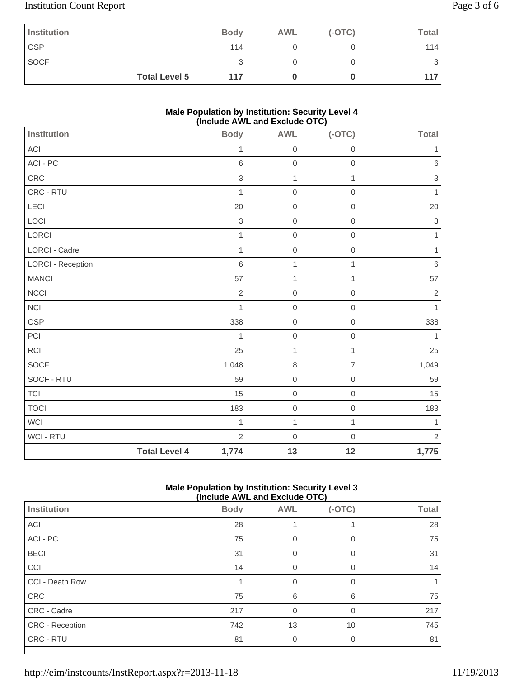# Institution Count Report Page 3 of 6

| Institution |                      | <b>Body</b> | <b>AWL</b> | $(-OTC)$ | Total |
|-------------|----------------------|-------------|------------|----------|-------|
| <b>OSP</b>  |                      | 114         |            |          | 114   |
| <b>SOCF</b> |                      |             |            |          | 3     |
|             | <b>Total Level 5</b> | 117         |            |          | 117   |

### **Male Population by Institution: Security Level 4 (Include AWL and Exclude OTC)**

|                      | <b>Body</b>    | <b>AWL</b>       | $(-OTC)$            | Total          |
|----------------------|----------------|------------------|---------------------|----------------|
|                      | $\mathbf{1}$   | $\mbox{O}$       | $\mathbf 0$         | 1              |
|                      | 6              | $\mathbf 0$      | $\mathbf 0$         | $\,6\,$        |
|                      | 3              | $\mathbf{1}$     | $\mathbf{1}$        | $\,$ 3 $\,$    |
|                      | 1              | $\mathbf 0$      | $\mathbf 0$         | 1              |
|                      | 20             | $\mathbf 0$      | $\mathbf 0$         | 20             |
|                      | $\,$ 3 $\,$    | $\mbox{O}$       | $\,0\,$             | $\sqrt{3}$     |
|                      | $\mathbf{1}$   | $\boldsymbol{0}$ | $\mathbf 0$         | $\mathbf{1}$   |
|                      | $\mathbf{1}$   | $\mathbf 0$      | $\mathbf 0$         | 1              |
|                      | 6              | 1                | 1                   | $\,6\,$        |
|                      | 57             | $\mathbf{1}$     | $\mathbf{1}$        | 57             |
|                      | $\overline{2}$ | $\mathbf 0$      | $\mathsf{O}\xspace$ | $\sqrt{2}$     |
|                      | $\mathbf{1}$   | $\mathbf 0$      | $\mathbf 0$         | $\mathbf{1}$   |
|                      | 338            | $\mathbf 0$      | $\mathbf 0$         | 338            |
|                      | 1              | $\mbox{O}$       | $\mathbf 0$         | 1              |
|                      | 25             | $\mathbf{1}$     | $\mathbf{1}$        | 25             |
|                      | 1,048          | $\,8\,$          | $\overline{7}$      | 1,049          |
|                      | 59             | $\mbox{O}$       | $\boldsymbol{0}$    | 59             |
|                      | 15             | $\mathbf 0$      | $\mathbf 0$         | 15             |
|                      | 183            | $\mbox{O}$       | $\mathbf 0$         | 183            |
|                      | $\mathbf 1$    | $\mathbf{1}$     | $\mathbf{1}$        | 1              |
|                      | $\overline{2}$ | $\mathbf 0$      | $\mathbf 0$         | $\overline{2}$ |
| <b>Total Level 4</b> | 1,774          | 13               | 12                  | 1,775          |
|                      |                |                  |                     |                |

### **Male Population by Institution: Security Level 3 (Include AWL and Exclude OTC)**

|                        | (INClUDE AVE AND EXCIUDE UT U) |            |          |              |  |
|------------------------|--------------------------------|------------|----------|--------------|--|
| Institution            | <b>Body</b>                    | <b>AWL</b> | $(-OTC)$ | <b>Total</b> |  |
| ACI                    | 28                             |            |          | 28           |  |
| ACI - PC               | 75                             | 0          | 0        | 75           |  |
| <b>BECI</b>            | 31                             | $\Omega$   | $\Omega$ | 31           |  |
| CCI                    | 14                             |            | 0        | 14           |  |
| CCI - Death Row        |                                | 0          | 0        |              |  |
| CRC                    | 75                             | 6          | 6        | 75           |  |
| CRC - Cadre            | 217                            | $\Omega$   | $\Omega$ | 217          |  |
| <b>CRC</b> - Reception | 742                            | 13         | 10       | 745          |  |
| CRC - RTU              | 81                             | 0          | 0        | 81           |  |
|                        |                                |            |          |              |  |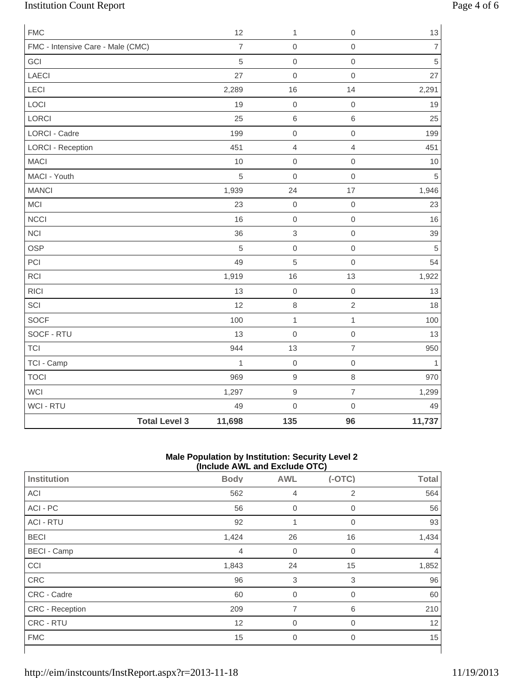# Institution Count Report Page 4 of 6

| <b>FMC</b>                        |                      | 12             | 1              | $\mathbf 0$         | $13$                     |
|-----------------------------------|----------------------|----------------|----------------|---------------------|--------------------------|
| FMC - Intensive Care - Male (CMC) |                      | $\overline{7}$ | $\mathbf 0$    | $\mathsf{O}\xspace$ | $\overline{\mathcal{I}}$ |
| GCI                               |                      | 5              | $\mathbf 0$    | $\mathsf{O}\xspace$ | $\overline{5}$           |
| <b>LAECI</b>                      |                      | 27             | $\mathbf 0$    | $\mathsf{O}\xspace$ | 27                       |
| LECI                              |                      | 2,289          | 16             | 14                  | 2,291                    |
| LOCI                              |                      | 19             | $\mathbf 0$    | $\mathsf{O}\xspace$ | 19                       |
| LORCI                             |                      | 25             | $\,6\,$        | $\,6$               | 25                       |
| <b>LORCI - Cadre</b>              |                      | 199            | $\mbox{O}$     | $\mathsf{O}\xspace$ | 199                      |
| <b>LORCI - Reception</b>          |                      | 451            | $\overline{4}$ | $\overline{4}$      | 451                      |
| <b>MACI</b>                       |                      | 10             | $\mbox{O}$     | $\mathsf{O}\xspace$ | 10                       |
| MACI - Youth                      |                      | 5              | $\mathbf 0$    | $\mathsf{O}\xspace$ | $\overline{5}$           |
| <b>MANCI</b>                      |                      | 1,939          | 24             | 17                  | 1,946                    |
| MCI                               |                      | 23             | $\mbox{O}$     | $\mathbf 0$         | 23                       |
| <b>NCCI</b>                       |                      | 16             | $\mathbf 0$    | $\mathsf{O}\xspace$ | 16                       |
| <b>NCI</b>                        |                      | 36             | $\,$ 3 $\,$    | $\mathsf{O}\xspace$ | 39                       |
| <b>OSP</b>                        |                      | 5              | $\mathbf 0$    | $\mathsf{O}\xspace$ | $\sqrt{5}$               |
| PCI                               |                      | 49             | 5              | $\mathsf{O}\xspace$ | 54                       |
| RCI                               |                      | 1,919          | 16             | 13                  | 1,922                    |
| <b>RICI</b>                       |                      | 13             | $\mathbf 0$    | $\mathbf 0$         | 13                       |
| SCI                               |                      | 12             | $\,8\,$        | $\overline{2}$      | 18                       |
| <b>SOCF</b>                       |                      | 100            | $\mathbf{1}$   | $\mathbf{1}$        | 100                      |
| SOCF - RTU                        |                      | 13             | $\mathbf 0$    | $\mathsf{O}\xspace$ | 13                       |
| TCI                               |                      | 944            | 13             | $\overline{7}$      | 950                      |
| TCI - Camp                        |                      | $\mathbf{1}$   | $\mathbf 0$    | $\mathsf{O}\xspace$ | $\mathbf{1}$             |
| <b>TOCI</b>                       |                      | 969            | $\mathsf g$    | 8                   | 970                      |
| WCI                               |                      | 1,297          | $\mathsf 9$    | $\overline{7}$      | 1,299                    |
| WCI - RTU                         |                      | 49             | $\mathbf 0$    | $\mathsf{O}\xspace$ | 49                       |
|                                   | <b>Total Level 3</b> | 11,698         | 135            | 96                  | 11,737                   |

### **Male Population by Institution: Security Level 2 (Include AWL and Exclude OTC)**

| $(110100C)$ and the column $(010)$ |                |                  |                |              |  |  |
|------------------------------------|----------------|------------------|----------------|--------------|--|--|
| Institution                        | <b>Body</b>    | <b>AWL</b>       | $(-OTC)$       | <b>Total</b> |  |  |
| ACI                                | 562            | $\overline{4}$   | 2              | 564          |  |  |
| ACI - PC                           | 56             | $\boldsymbol{0}$ | 0              | 56           |  |  |
| <b>ACI - RTU</b>                   | 92             | 1                | $\overline{0}$ | 93           |  |  |
| <b>BECI</b>                        | 1,424          | 26               | 16             | 1,434        |  |  |
| <b>BECI</b> - Camp                 | $\overline{4}$ | $\mathbf 0$      | $\mathbf 0$    | 4            |  |  |
| CCI                                | 1,843          | 24               | 15             | 1,852        |  |  |
| CRC                                | 96             | 3                | 3              | 96           |  |  |
| CRC - Cadre                        | 60             | $\mathbf 0$      | $\mathbf 0$    | 60           |  |  |
| <b>CRC</b> - Reception             | 209            | 7                | 6              | 210          |  |  |
| CRC - RTU                          | 12             | $\mathbf 0$      | $\mathbf 0$    | 12           |  |  |
| <b>FMC</b>                         | 15             | $\overline{0}$   | $\mathbf 0$    | 15           |  |  |
|                                    |                |                  |                |              |  |  |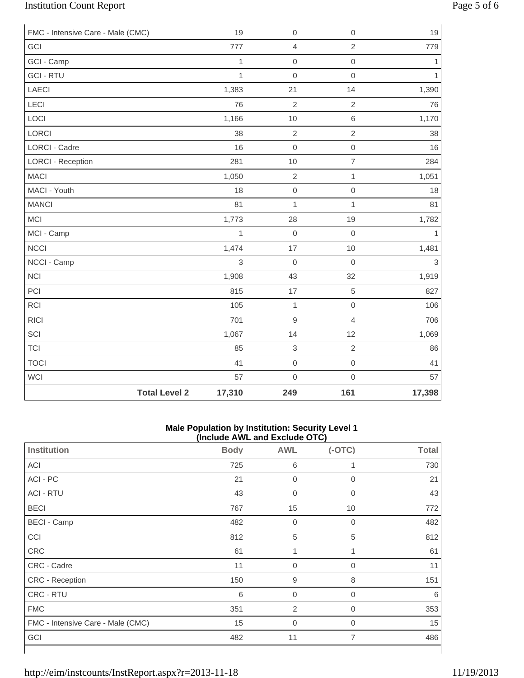# Institution Count Report Page 5 of 6

| FMC - Intensive Care - Male (CMC) |                      | 19           | $\boldsymbol{0}$ | $\mathbf 0$         | 19           |
|-----------------------------------|----------------------|--------------|------------------|---------------------|--------------|
| GCI                               |                      | 777          | 4                | $\overline{2}$      | 779          |
| GCI - Camp                        |                      | $\mathbf{1}$ | $\mathbf 0$      | $\mathbf 0$         | 1            |
| <b>GCI - RTU</b>                  |                      | $\mathbf{1}$ | $\mathbf 0$      | $\mathbf 0$         | $\mathbf{1}$ |
| LAECI                             |                      | 1,383        | 21               | 14                  | 1,390        |
| LECI                              |                      | 76           | $\overline{2}$   | $\sqrt{2}$          | 76           |
| LOCI                              |                      | 1,166        | 10               | $\,6$               | 1,170        |
| LORCI                             |                      | 38           | $\overline{2}$   | $\overline{2}$      | 38           |
| <b>LORCI - Cadre</b>              |                      | 16           | $\mathbf 0$      | $\mathsf{O}\xspace$ | 16           |
| <b>LORCI - Reception</b>          |                      | 281          | 10               | $\overline{7}$      | 284          |
| <b>MACI</b>                       |                      | 1,050        | $\overline{2}$   | $\mathbf{1}$        | 1,051        |
| MACI - Youth                      |                      | 18           | $\mathbf 0$      | $\mathsf{O}\xspace$ | 18           |
| <b>MANCI</b>                      |                      | 81           | $\mathbf{1}$     | $\mathbf{1}$        | 81           |
| <b>MCI</b>                        |                      | 1,773        | 28               | 19                  | 1,782        |
| MCI - Camp                        |                      | $\mathbf{1}$ | $\boldsymbol{0}$ | $\mathbf 0$         | $\mathbf{1}$ |
| <b>NCCI</b>                       |                      | 1,474        | 17               | 10                  | 1,481        |
| NCCI - Camp                       |                      | 3            | $\mathbf 0$      | $\mathbf 0$         | 3            |
| <b>NCI</b>                        |                      | 1,908        | 43               | 32                  | 1,919        |
| PCI                               |                      | 815          | 17               | 5                   | 827          |
| RCI                               |                      | 105          | $\mathbf{1}$     | $\mbox{O}$          | 106          |
| <b>RICI</b>                       |                      | 701          | $\mathsf g$      | $\overline{4}$      | 706          |
| SCI                               |                      | 1,067        | 14               | 12                  | 1,069        |
| <b>TCI</b>                        |                      | 85           | 3                | $\overline{2}$      | 86           |
| <b>TOCI</b>                       |                      | 41           | $\boldsymbol{0}$ | $\mathbf 0$         | 41           |
| <b>WCI</b>                        |                      | 57           | $\mathbf 0$      | $\mathbf 0$         | 57           |
|                                   | <b>Total Level 2</b> | 17,310       | 249              | 161                 | 17,398       |

#### **Male Population by Institution: Security Level 1 (Include AWL and Exclude OTC)**

| $($ mclude $\overline{A}$ ive and exclude $\overline{O}$ i $\overline{O}$ |             |                  |                |              |  |
|---------------------------------------------------------------------------|-------------|------------------|----------------|--------------|--|
| <b>Institution</b>                                                        | <b>Body</b> | <b>AWL</b>       | $(-OTC)$       | <b>Total</b> |  |
| ACI                                                                       | 725         | 6                |                | 730          |  |
| ACI - PC                                                                  | 21          | $\overline{0}$   | $\mathbf 0$    | 21           |  |
| <b>ACI - RTU</b>                                                          | 43          | $\boldsymbol{0}$ | 0              | 43           |  |
| <b>BECI</b>                                                               | 767         | 15               | 10             | 772          |  |
| <b>BECI - Camp</b>                                                        | 482         | $\boldsymbol{0}$ | 0              | 482          |  |
| CCI                                                                       | 812         | 5                | 5              | 812          |  |
| <b>CRC</b>                                                                | 61          | 1                | 1              | 61           |  |
| CRC - Cadre                                                               | 11          | $\boldsymbol{0}$ | 0              | 11           |  |
| CRC - Reception                                                           | 150         | $\boldsymbol{9}$ | 8              | 151          |  |
| CRC - RTU                                                                 | 6           | $\overline{0}$   | 0              | 6            |  |
| <b>FMC</b>                                                                | 351         | $\overline{2}$   | 0              | 353          |  |
| FMC - Intensive Care - Male (CMC)                                         | 15          | $\mathbf 0$      | 0              | 15           |  |
| GCI                                                                       | 482         | 11               | $\overline{7}$ | 486          |  |
|                                                                           |             |                  |                |              |  |